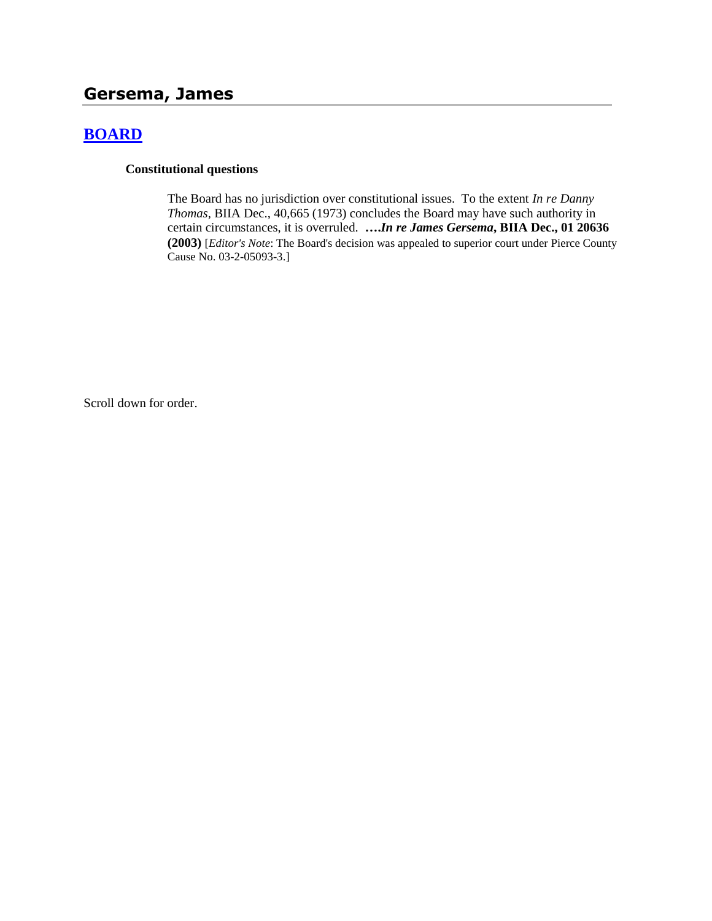# **Gersema, James**

# **[BOARD](http://www.biia.wa.gov/SDSubjectIndex.html#BOARD)**

#### **Constitutional questions**

The Board has no jurisdiction over constitutional issues. To the extent *In re Danny Thomas,* BIIA Dec., 40,665 (1973) concludes the Board may have such authority in certain circumstances, it is overruled. **….***In re James Gersema***, BIIA Dec., 01 20636 (2003)** [*Editor's Note*: The Board's decision was appealed to superior court under Pierce County Cause No. 03-2-05093-3.]

Scroll down for order.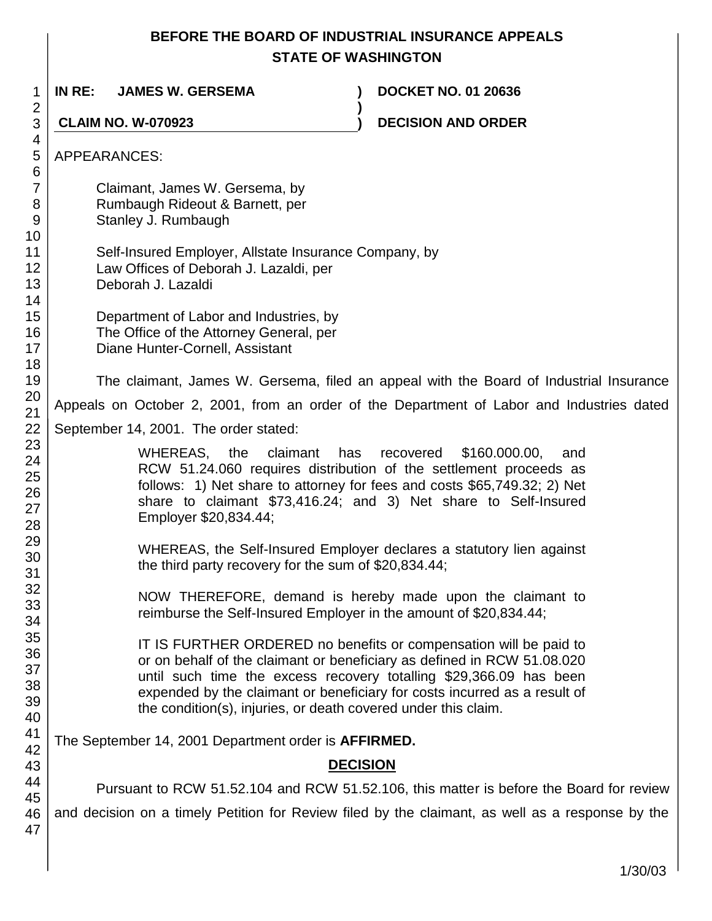# **BEFORE THE BOARD OF INDUSTRIAL INSURANCE APPEALS STATE OF WASHINGTON**

1 2 3 4 5 6 7 8 9 10 11 12 13 14 15 16 17 18 19 20 21 22 23 24 25 26 27 28 29 30 31 32 33 34 35 36 37 38 39 40 41 42 43 44 45 46 47 **IN RE: JAMES W. GERSEMA ) DOCKET NO. 01 20636 ) CLAIM NO. W-070923 ) DECISION AND ORDER** APPEARANCES: Claimant, James W. Gersema, by Rumbaugh Rideout & Barnett, per Stanley J. Rumbaugh Self-Insured Employer, Allstate Insurance Company, by Law Offices of Deborah J. Lazaldi, per Deborah J. Lazaldi Department of Labor and Industries, by The Office of the Attorney General, per Diane Hunter-Cornell, Assistant The claimant, James W. Gersema, filed an appeal with the Board of Industrial Insurance Appeals on October 2, 2001, from an order of the Department of Labor and Industries dated September 14, 2001. The order stated: WHEREAS, the claimant has recovered \$160.000.00, and RCW 51.24.060 requires distribution of the settlement proceeds as follows: 1) Net share to attorney for fees and costs \$65,749.32; 2) Net share to claimant \$73,416.24; and 3) Net share to Self-Insured Employer \$20,834.44; WHEREAS, the Self-Insured Employer declares a statutory lien against the third party recovery for the sum of \$20,834.44; NOW THEREFORE, demand is hereby made upon the claimant to reimburse the Self-Insured Employer in the amount of \$20,834.44; IT IS FURTHER ORDERED no benefits or compensation will be paid to or on behalf of the claimant or beneficiary as defined in RCW 51.08.020 until such time the excess recovery totalling \$29,366.09 has been expended by the claimant or beneficiary for costs incurred as a result of the condition(s), injuries, or death covered under this claim. The September 14, 2001 Department order is **AFFIRMED. DECISION** Pursuant to RCW 51.52.104 and RCW 51.52.106, this matter is before the Board for review and decision on a timely Petition for Review filed by the claimant, as well as a response by the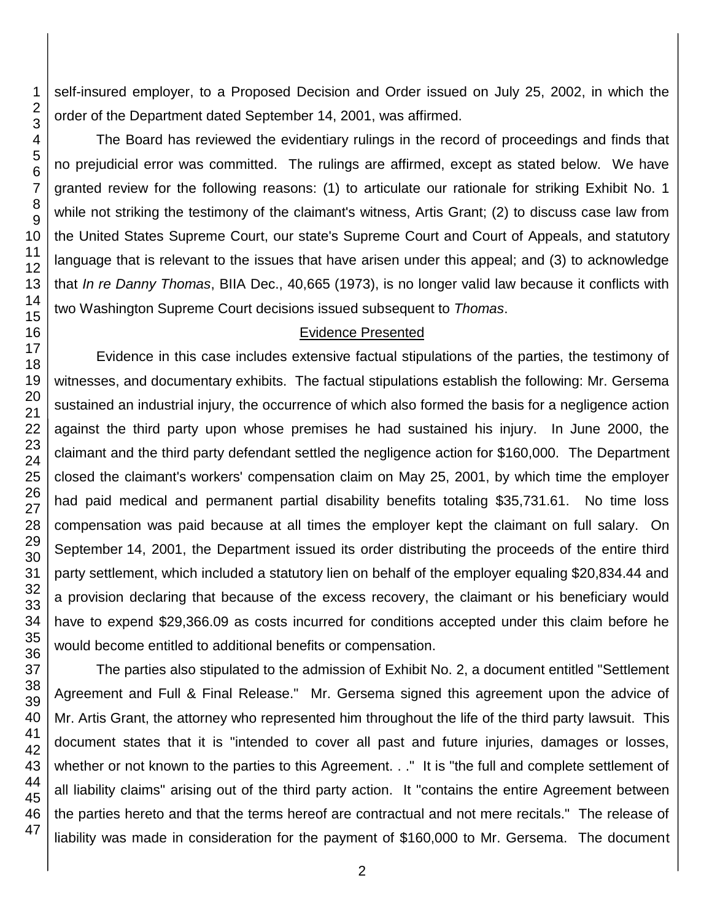self-insured employer, to a Proposed Decision and Order issued on July 25, 2002, in which the order of the Department dated September 14, 2001, was affirmed.

The Board has reviewed the evidentiary rulings in the record of proceedings and finds that no prejudicial error was committed. The rulings are affirmed, except as stated below. We have granted review for the following reasons: (1) to articulate our rationale for striking Exhibit No. 1 while not striking the testimony of the claimant's witness, Artis Grant; (2) to discuss case law from the United States Supreme Court, our state's Supreme Court and Court of Appeals, and statutory language that is relevant to the issues that have arisen under this appeal; and (3) to acknowledge that *In re Danny Thomas*, BIIA Dec., 40,665 (1973), is no longer valid law because it conflicts with two Washington Supreme Court decisions issued subsequent to *Thomas*.

#### Evidence Presented

Evidence in this case includes extensive factual stipulations of the parties, the testimony of witnesses, and documentary exhibits. The factual stipulations establish the following: Mr. Gersema sustained an industrial injury, the occurrence of which also formed the basis for a negligence action against the third party upon whose premises he had sustained his injury. In June 2000, the claimant and the third party defendant settled the negligence action for \$160,000. The Department closed the claimant's workers' compensation claim on May 25, 2001, by which time the employer had paid medical and permanent partial disability benefits totaling \$35,731.61. No time loss compensation was paid because at all times the employer kept the claimant on full salary. On September 14, 2001, the Department issued its order distributing the proceeds of the entire third party settlement, which included a statutory lien on behalf of the employer equaling \$20,834.44 and a provision declaring that because of the excess recovery, the claimant or his beneficiary would have to expend \$29,366.09 as costs incurred for conditions accepted under this claim before he would become entitled to additional benefits or compensation.

The parties also stipulated to the admission of Exhibit No. 2, a document entitled "Settlement Agreement and Full & Final Release." Mr. Gersema signed this agreement upon the advice of Mr. Artis Grant, the attorney who represented him throughout the life of the third party lawsuit. This document states that it is "intended to cover all past and future injuries, damages or losses, whether or not known to the parties to this Agreement. . ." It is "the full and complete settlement of all liability claims" arising out of the third party action. It "contains the entire Agreement between the parties hereto and that the terms hereof are contractual and not mere recitals." The release of liability was made in consideration for the payment of \$160,000 to Mr. Gersema. The document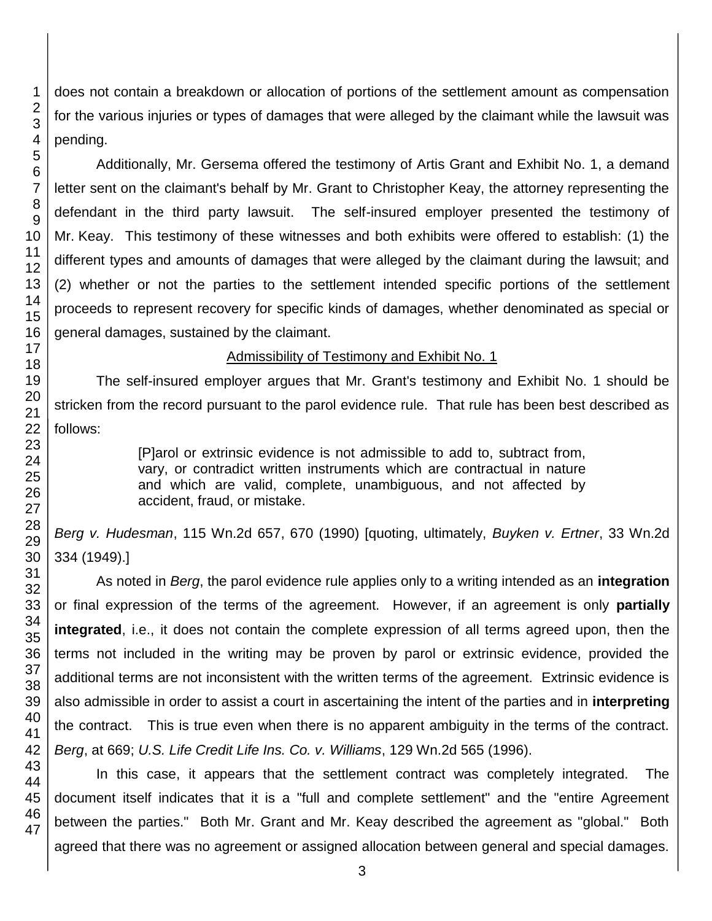does not contain a breakdown or allocation of portions of the settlement amount as compensation for the various injuries or types of damages that were alleged by the claimant while the lawsuit was pending.

Additionally, Mr. Gersema offered the testimony of Artis Grant and Exhibit No. 1, a demand letter sent on the claimant's behalf by Mr. Grant to Christopher Keay, the attorney representing the defendant in the third party lawsuit. The self-insured employer presented the testimony of Mr. Keay. This testimony of these witnesses and both exhibits were offered to establish: (1) the different types and amounts of damages that were alleged by the claimant during the lawsuit; and (2) whether or not the parties to the settlement intended specific portions of the settlement proceeds to represent recovery for specific kinds of damages, whether denominated as special or general damages, sustained by the claimant.

# Admissibility of Testimony and Exhibit No. 1

The self-insured employer argues that Mr. Grant's testimony and Exhibit No. 1 should be stricken from the record pursuant to the parol evidence rule. That rule has been best described as follows:

> [P]arol or extrinsic evidence is not admissible to add to, subtract from, vary, or contradict written instruments which are contractual in nature and which are valid, complete, unambiguous, and not affected by accident, fraud, or mistake.

*Berg v. Hudesman*, 115 Wn.2d 657, 670 (1990) [quoting, ultimately, *Buyken v. Ertner*, 33 Wn.2d 334 (1949).]

As noted in *Berg*, the parol evidence rule applies only to a writing intended as an **integration** or final expression of the terms of the agreement. However, if an agreement is only **partially integrated**, i.e., it does not contain the complete expression of all terms agreed upon, then the terms not included in the writing may be proven by parol or extrinsic evidence, provided the additional terms are not inconsistent with the written terms of the agreement. Extrinsic evidence is also admissible in order to assist a court in ascertaining the intent of the parties and in **interpreting** the contract. This is true even when there is no apparent ambiguity in the terms of the contract. *Berg*, at 669; *U.S. Life Credit Life Ins. Co. v. Williams*, 129 Wn.2d 565 (1996).

In this case, it appears that the settlement contract was completely integrated. The document itself indicates that it is a "full and complete settlement" and the "entire Agreement between the parties." Both Mr. Grant and Mr. Keay described the agreement as "global." Both agreed that there was no agreement or assigned allocation between general and special damages.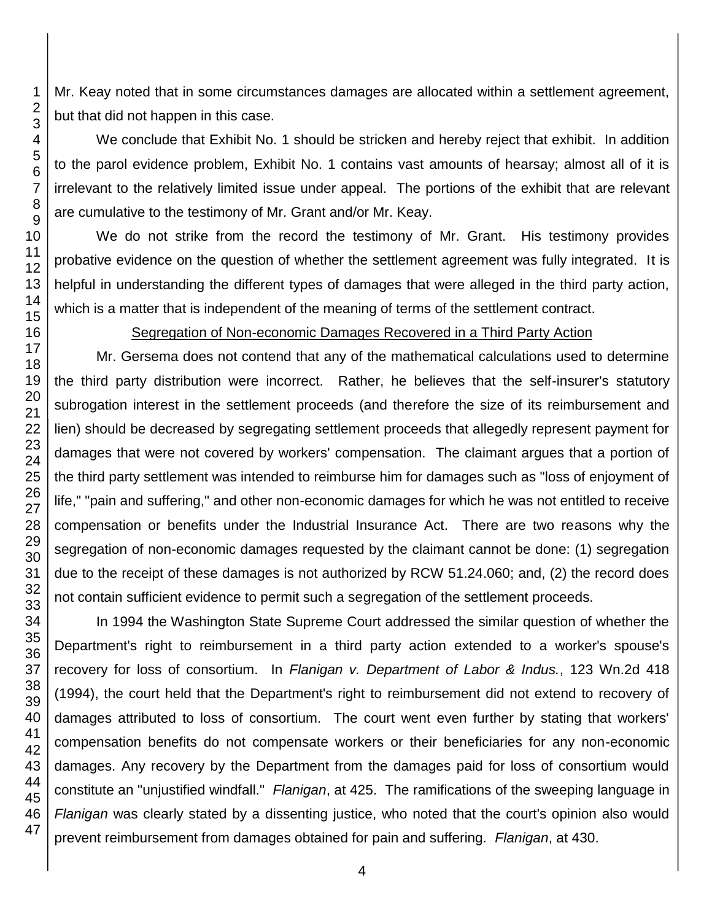Mr. Keay noted that in some circumstances damages are allocated within a settlement agreement, but that did not happen in this case.

We conclude that Exhibit No. 1 should be stricken and hereby reject that exhibit. In addition to the parol evidence problem, Exhibit No. 1 contains vast amounts of hearsay; almost all of it is irrelevant to the relatively limited issue under appeal. The portions of the exhibit that are relevant are cumulative to the testimony of Mr. Grant and/or Mr. Keay.

We do not strike from the record the testimony of Mr. Grant. His testimony provides probative evidence on the question of whether the settlement agreement was fully integrated. It is helpful in understanding the different types of damages that were alleged in the third party action, which is a matter that is independent of the meaning of terms of the settlement contract.

### Segregation of Non-economic Damages Recovered in a Third Party Action

Mr. Gersema does not contend that any of the mathematical calculations used to determine the third party distribution were incorrect. Rather, he believes that the self-insurer's statutory subrogation interest in the settlement proceeds (and therefore the size of its reimbursement and lien) should be decreased by segregating settlement proceeds that allegedly represent payment for damages that were not covered by workers' compensation. The claimant argues that a portion of the third party settlement was intended to reimburse him for damages such as "loss of enjoyment of life," "pain and suffering," and other non-economic damages for which he was not entitled to receive compensation or benefits under the Industrial Insurance Act. There are two reasons why the segregation of non-economic damages requested by the claimant cannot be done: (1) segregation due to the receipt of these damages is not authorized by RCW 51.24.060; and, (2) the record does not contain sufficient evidence to permit such a segregation of the settlement proceeds.

In 1994 the Washington State Supreme Court addressed the similar question of whether the Department's right to reimbursement in a third party action extended to a worker's spouse's recovery for loss of consortium. In *Flanigan v. Department of Labor & Indus.*, 123 Wn.2d 418 (1994), the court held that the Department's right to reimbursement did not extend to recovery of damages attributed to loss of consortium. The court went even further by stating that workers' compensation benefits do not compensate workers or their beneficiaries for any non-economic damages. Any recovery by the Department from the damages paid for loss of consortium would constitute an "unjustified windfall." *Flanigan*, at 425. The ramifications of the sweeping language in *Flanigan* was clearly stated by a dissenting justice, who noted that the court's opinion also would prevent reimbursement from damages obtained for pain and suffering. *Flanigan*, at 430.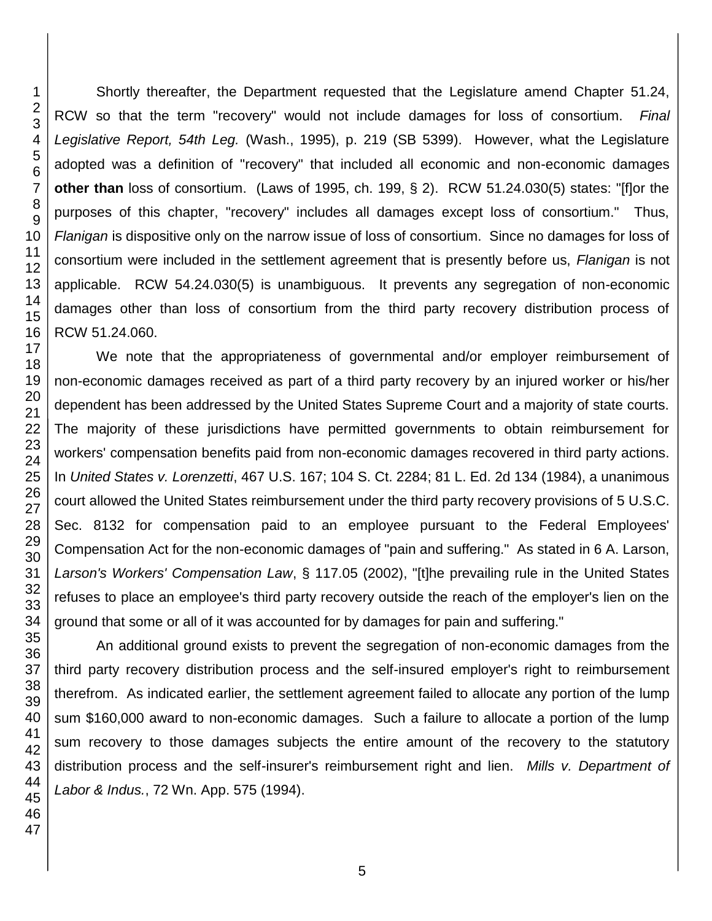Shortly thereafter, the Department requested that the Legislature amend Chapter 51.24, RCW so that the term "recovery" would not include damages for loss of consortium. *Final Legislative Report, 54th Leg.* (Wash., 1995), p. 219 (SB 5399). However, what the Legislature adopted was a definition of "recovery" that included all economic and non-economic damages **other than** loss of consortium. (Laws of 1995, ch. 199, § 2). RCW 51.24.030(5) states: "[f]or the purposes of this chapter, "recovery" includes all damages except loss of consortium." Thus, *Flanigan* is dispositive only on the narrow issue of loss of consortium. Since no damages for loss of consortium were included in the settlement agreement that is presently before us, *Flanigan* is not applicable. RCW 54.24.030(5) is unambiguous. It prevents any segregation of non-economic damages other than loss of consortium from the third party recovery distribution process of RCW 51.24.060.

We note that the appropriateness of governmental and/or employer reimbursement of non-economic damages received as part of a third party recovery by an injured worker or his/her dependent has been addressed by the United States Supreme Court and a majority of state courts. The majority of these jurisdictions have permitted governments to obtain reimbursement for workers' compensation benefits paid from non-economic damages recovered in third party actions. In *United States v. Lorenzetti*, 467 U.S. 167; 104 S. Ct. 2284; 81 L. Ed. 2d 134 (1984), a unanimous court allowed the United States reimbursement under the third party recovery provisions of 5 U.S.C. Sec. 8132 for compensation paid to an employee pursuant to the Federal Employees' Compensation Act for the non-economic damages of "pain and suffering." As stated in 6 A. Larson, *Larson's Workers' Compensation Law*, § 117.05 (2002), "[t]he prevailing rule in the United States refuses to place an employee's third party recovery outside the reach of the employer's lien on the ground that some or all of it was accounted for by damages for pain and suffering."

An additional ground exists to prevent the segregation of non-economic damages from the third party recovery distribution process and the self-insured employer's right to reimbursement therefrom. As indicated earlier, the settlement agreement failed to allocate any portion of the lump sum \$160,000 award to non-economic damages. Such a failure to allocate a portion of the lump sum recovery to those damages subjects the entire amount of the recovery to the statutory distribution process and the self-insurer's reimbursement right and lien. *Mills v. Department of Labor & Indus.*, 72 Wn. App. 575 (1994).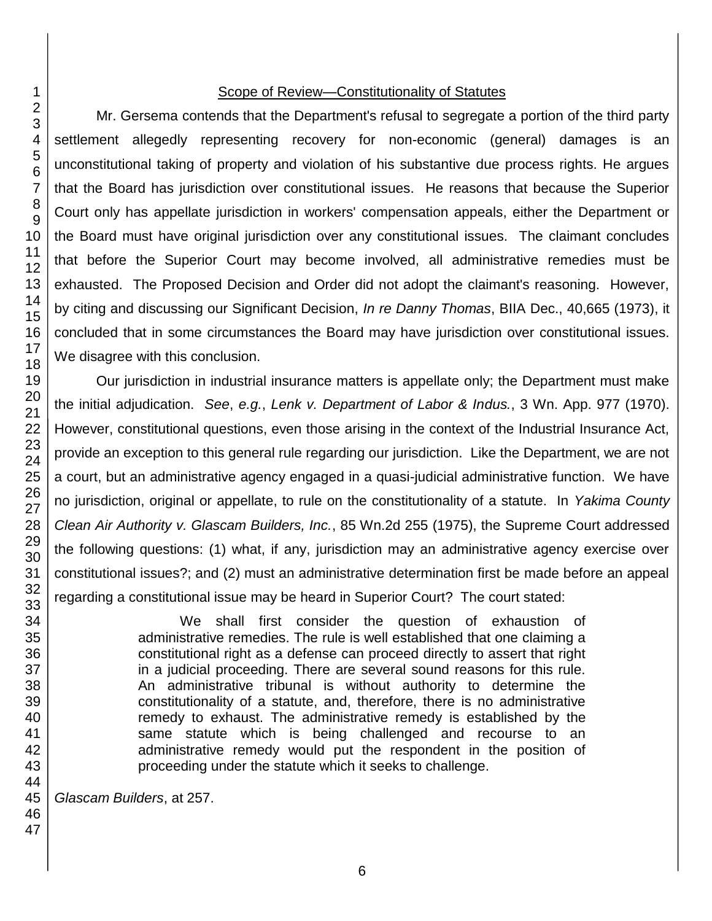### Scope of Review—Constitutionality of Statutes

Mr. Gersema contends that the Department's refusal to segregate a portion of the third party settlement allegedly representing recovery for non-economic (general) damages is an unconstitutional taking of property and violation of his substantive due process rights. He argues that the Board has jurisdiction over constitutional issues. He reasons that because the Superior Court only has appellate jurisdiction in workers' compensation appeals, either the Department or the Board must have original jurisdiction over any constitutional issues. The claimant concludes that before the Superior Court may become involved, all administrative remedies must be exhausted. The Proposed Decision and Order did not adopt the claimant's reasoning. However, by citing and discussing our Significant Decision, *In re Danny Thomas*, BIIA Dec., 40,665 (1973), it concluded that in some circumstances the Board may have jurisdiction over constitutional issues. We disagree with this conclusion.

Our jurisdiction in industrial insurance matters is appellate only; the Department must make the initial adjudication. *See*, *e.g.*, *Lenk v. Department of Labor & Indus.*, 3 Wn. App. 977 (1970). However, constitutional questions, even those arising in the context of the Industrial Insurance Act, provide an exception to this general rule regarding our jurisdiction. Like the Department, we are not a court, but an administrative agency engaged in a quasi-judicial administrative function. We have no jurisdiction, original or appellate, to rule on the constitutionality of a statute. In *Yakima County Clean Air Authority v. Glascam Builders, Inc.*, 85 Wn.2d 255 (1975), the Supreme Court addressed the following questions: (1) what, if any, jurisdiction may an administrative agency exercise over constitutional issues?; and (2) must an administrative determination first be made before an appeal regarding a constitutional issue may be heard in Superior Court? The court stated:

> We shall first consider the question of exhaustion of administrative remedies. The rule is well established that one claiming a constitutional right as a defense can proceed directly to assert that right in a judicial proceeding. There are several sound reasons for this rule. An administrative tribunal is without authority to determine the constitutionality of a statute, and, therefore, there is no administrative remedy to exhaust. The administrative remedy is established by the same statute which is being challenged and recourse to an administrative remedy would put the respondent in the position of proceeding under the statute which it seeks to challenge.

*Glascam Builders*, at 257.

47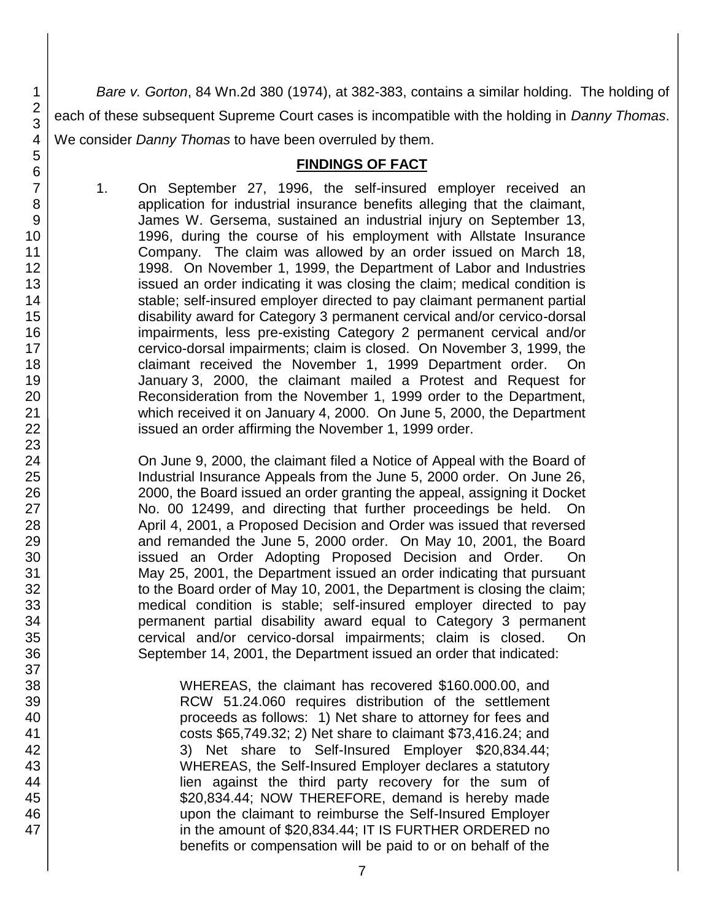*Bare v. Gorton*, 84 Wn.2d 380 (1974), at 382-383, contains a similar holding. The holding of each of these subsequent Supreme Court cases is incompatible with the holding in *Danny Thomas*. We consider *Danny Thomas* to have been overruled by them.

### **FINDINGS OF FACT**

1. On September 27, 1996, the self-insured employer received an application for industrial insurance benefits alleging that the claimant, James W. Gersema, sustained an industrial injury on September 13, 1996, during the course of his employment with Allstate Insurance Company. The claim was allowed by an order issued on March 18, 1998. On November 1, 1999, the Department of Labor and Industries issued an order indicating it was closing the claim; medical condition is stable; self-insured employer directed to pay claimant permanent partial disability award for Category 3 permanent cervical and/or cervico-dorsal impairments, less pre-existing Category 2 permanent cervical and/or cervico-dorsal impairments; claim is closed. On November 3, 1999, the claimant received the November 1, 1999 Department order. On January 3, 2000, the claimant mailed a Protest and Request for Reconsideration from the November 1, 1999 order to the Department, which received it on January 4, 2000. On June 5, 2000, the Department issued an order affirming the November 1, 1999 order.

On June 9, 2000, the claimant filed a Notice of Appeal with the Board of Industrial Insurance Appeals from the June 5, 2000 order. On June 26, 2000, the Board issued an order granting the appeal, assigning it Docket No. 00 12499, and directing that further proceedings be held. On April 4, 2001, a Proposed Decision and Order was issued that reversed and remanded the June 5, 2000 order. On May 10, 2001, the Board issued an Order Adopting Proposed Decision and Order. On May 25, 2001, the Department issued an order indicating that pursuant to the Board order of May 10, 2001, the Department is closing the claim; medical condition is stable; self-insured employer directed to pay permanent partial disability award equal to Category 3 permanent cervical and/or cervico-dorsal impairments; claim is closed. On September 14, 2001, the Department issued an order that indicated:

WHEREAS, the claimant has recovered \$160.000.00, and RCW 51.24.060 requires distribution of the settlement proceeds as follows: 1) Net share to attorney for fees and costs \$65,749.32; 2) Net share to claimant \$73,416.24; and 3) Net share to Self-Insured Employer \$20,834.44; WHEREAS, the Self-Insured Employer declares a statutory lien against the third party recovery for the sum of \$20,834.44; NOW THEREFORE, demand is hereby made upon the claimant to reimburse the Self-Insured Employer in the amount of \$20,834.44; IT IS FURTHER ORDERED no benefits or compensation will be paid to or on behalf of the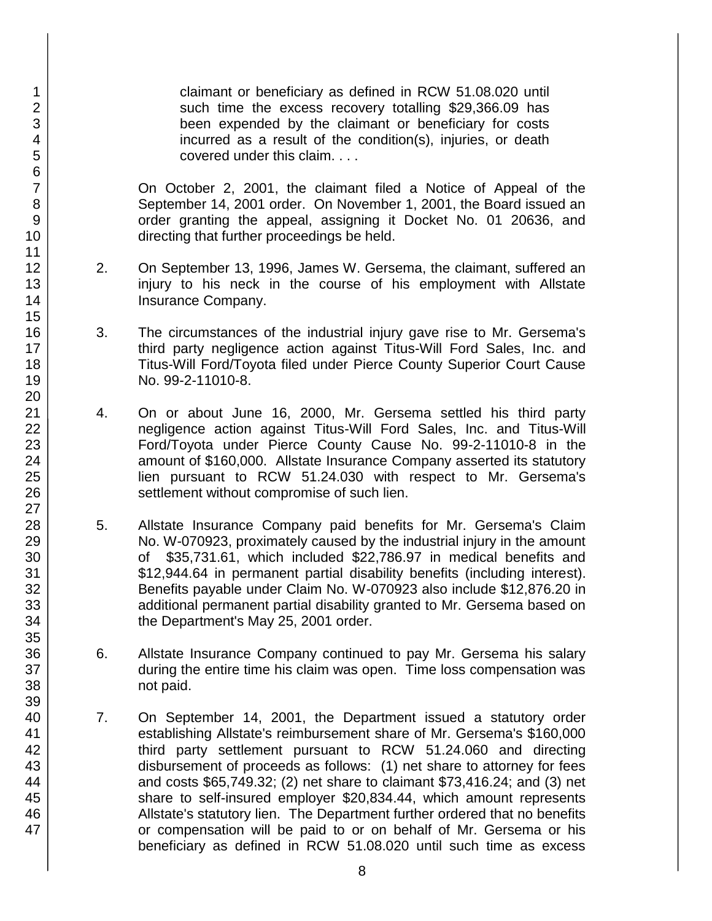claimant or beneficiary as defined in RCW 51.08.020 until such time the excess recovery totalling \$29,366.09 has been expended by the claimant or beneficiary for costs incurred as a result of the condition(s), injuries, or death covered under this claim. . . .

On October 2, 2001, the claimant filed a Notice of Appeal of the September 14, 2001 order. On November 1, 2001, the Board issued an order granting the appeal, assigning it Docket No. 01 20636, and directing that further proceedings be held.

- 2. On September 13, 1996, James W. Gersema, the claimant, suffered an injury to his neck in the course of his employment with Allstate Insurance Company.
- 3. The circumstances of the industrial injury gave rise to Mr. Gersema's third party negligence action against Titus-Will Ford Sales, Inc. and Titus-Will Ford/Toyota filed under Pierce County Superior Court Cause No. 99-2-11010-8.
- 4. On or about June 16, 2000, Mr. Gersema settled his third party negligence action against Titus-Will Ford Sales, Inc. and Titus-Will Ford/Toyota under Pierce County Cause No. 99-2-11010-8 in the amount of \$160,000. Allstate Insurance Company asserted its statutory lien pursuant to RCW 51.24.030 with respect to Mr. Gersema's settlement without compromise of such lien.
- 5. Allstate Insurance Company paid benefits for Mr. Gersema's Claim No. W-070923, proximately caused by the industrial injury in the amount of \$35,731.61, which included \$22,786.97 in medical benefits and \$12,944.64 in permanent partial disability benefits (including interest). Benefits payable under Claim No. W-070923 also include \$12,876.20 in additional permanent partial disability granted to Mr. Gersema based on the Department's May 25, 2001 order.
- 6. Allstate Insurance Company continued to pay Mr. Gersema his salary during the entire time his claim was open. Time loss compensation was not paid.
- 7. On September 14, 2001, the Department issued a statutory order establishing Allstate's reimbursement share of Mr. Gersema's \$160,000 third party settlement pursuant to RCW 51.24.060 and directing disbursement of proceeds as follows: (1) net share to attorney for fees and costs \$65,749.32; (2) net share to claimant \$73,416.24; and (3) net share to self-insured employer \$20,834.44, which amount represents Allstate's statutory lien. The Department further ordered that no benefits or compensation will be paid to or on behalf of Mr. Gersema or his beneficiary as defined in RCW 51.08.020 until such time as excess

47